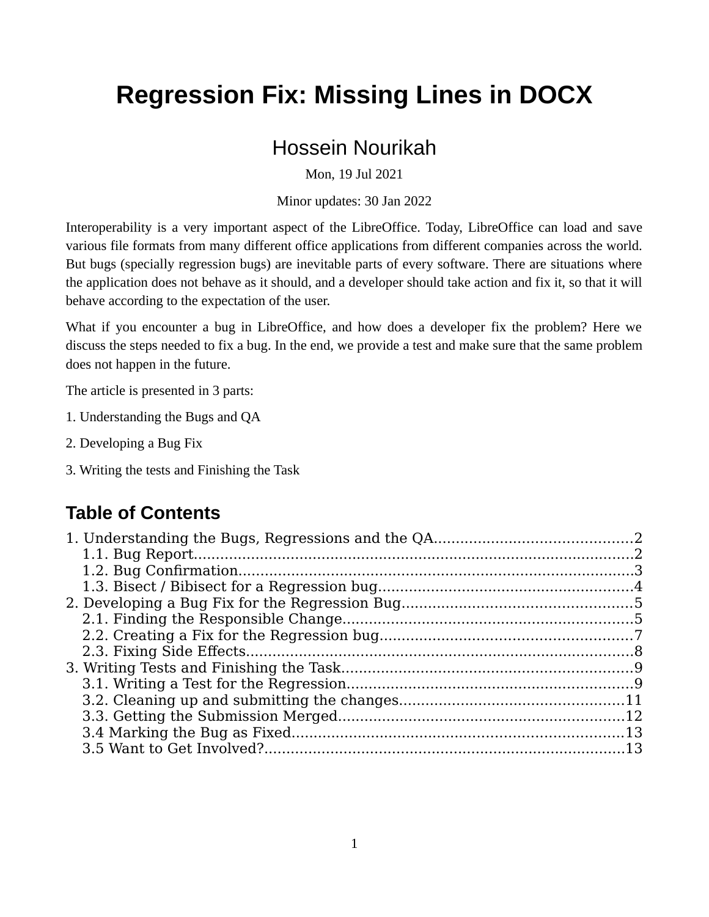# **Regression Fix: Missing Lines in DOCX**

#### Hossein Nourikah

Mon. 19 Jul 2021

Minor updates: 30 Jan 2022

Interoperability is a very important aspect of the LibreOffice. Today, LibreOffice can load and save various file formats from many different office applications from different companies across the world. But bugs (specially regression bugs) are inevitable parts of every software. There are situations where the application does not behave as it should, and a developer should take action and fix it, so that it will behave according to the expectation of the user.

What if you encounter a bug in LibreOffice, and how does a developer fix the problem? Here we discuss the steps needed to fix a bug. In the end, we provide a test and make sure that the same problem does not happen in the future.

The article is presented in 3 parts:

- 1. Understanding the Bugs and QA
- 2. Developing a Bug Fix
- 3. Writing the tests and Finishing the Task 3. Writing the tests and Finishing the Task

#### **Table of Contents**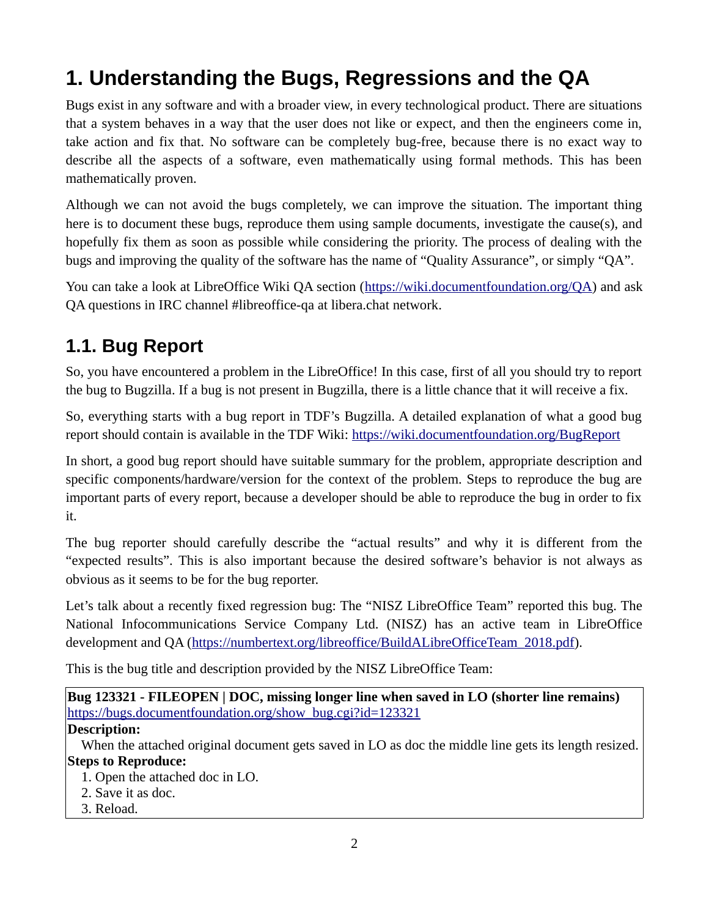# <span id="page-1-0"></span>**1. Understanding the Bugs, Regressions and the QA**

Bugs exist in any software and with a broader view, in every technological product. There are situations that a system behaves in a way that the user does not like or expect, and then the engineers come in, take action and fix that. No software can be completely bug-free, because there is no exact way to describe all the aspects of a software, even mathematically using formal methods. This has been mathematically proven.

Although we can not avoid the bugs completely, we can improve the situation. The important thing here is to document these bugs, reproduce them using sample documents, investigate the cause(s), and hopefully fix them as soon as possible while considering the priority. The process of dealing with the bugs and improving the quality of the software has the name of "Quality Assurance", or simply "QA".

You can take a look at LibreOffice Wiki QA section (https://wiki.documentfoundation.org/QA) and ask You can take a room at Libre Chine Wikin Qalookkin (<u>https://wiki.document.communication.org/QA</u>) and asks<br>OA questions in IRC channel #libreoffice-qa at libera.chat network.  $\mathcal{L}_{\mathcal{A}}$  questions in IRC channel  $\mathcal{A}_{\mathcal{A}}$  at libera.chat network.

#### <span id="page-1-1"></span>**1.1. Bug Report**

So, you have encountered a problem in the LibreOffice! In this case, first of all you should try to report the bug to Bugzilla. If a bug is not present in Bugzilla, there is a little chance that it will receive a fix.

So, everything starts with a bug report in TDF's Bugzilla. A detailed explanation of what a good bug report should contain is available in the TDF Wiki: https://wiki.documentfoundation.org/BugReport

In short, a good bug report should have suitable summary for the problem, appropriate description and specific components/hardware/version for the context of the problem. Steps to reproduce the bug are important parts of every report, because a developer should be able to reproduce the bug in order to fix important parts of every reproduce to the  $\mathbf{r}_\mathbf{f}$  is the able to  $\mathbf{r}_\mathbf{f}$  in order to fixed the bug in order to fixed the bug in order to fixed the bug in order to fixed the bug in order to fixed the bug in o it.<br>The bug reporter should carefully describe the "actual results" and why it is different from the

"expected results". This is also important because the desired software's behavior is not always as obvious as it seems to be for the bug reporter.

Let's talk about a recently fixed regression bug: The "NISZ LibreOffice Team" reported this bug. The National Infocommunications Service Company Ltd. (NISZ) has an active team in LibreOffice development and QA (https://numbertext.org/libreoffice/BuildALibreOfficeTeam 2018.pdf).

This is the bug title and description provided by the NISZ LibreOffice Team:

This is the bug title and description provided by the NISZ Libre  $\mathcal{L}_p$  Libredoffice Team: **Bug 123321 - FILEOPEN | DOC, missing longer line when saved in LO (shorter line remains)** https://bugs.documentfoundation.org/show\_bug.cgi?id=123321 **Description:**

Steps to Reproduce:

- 1. Open the attached doc in LO.
- 
- 3. Reload. <u>3. Religion de la propincia de la propincia de la propincia de la propincia de la propincia de la propincia de</u><br>1930 : la propincia de la propincia de la propincia de la propincia de la propincia de la propincia de la pro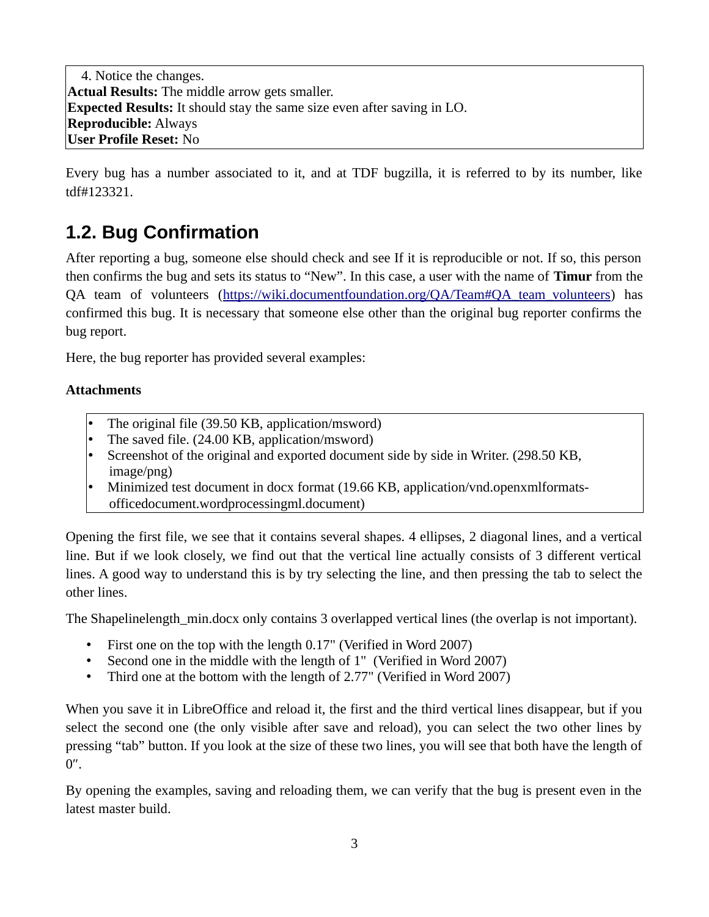Actual Results: The mid **Expected Results:** It should stay the same size It should stay the same size even after saving in LO. **Reproducible:User Profile Reset:** No No

Every bug has a number associated to it, and at TDF bugzilla, it is referred to by its number, like tdf#123321.

## <span id="page-2-0"></span>**1.2. Bug Confirmation**

After reporting a bug, someone else should check and see If it is reproducible or not. If so, this person then confirms the bug and sets its status to "New". In this case, a user with the name of **Timur** from the QA team of volunteers (https://wiki.documentfoundation.org/QA/Team#QA team volunteers) has confirmed this bug. It is necessary that someone else other than the original bug reporter confirms the confirmed this bug. It is necessary that someone else other than the original bug reporter confirms the

bug report.<br>Here, the bug reporter has provided several examples: Here, the bug reporter has provided several examples:

#### **Attachments**

- The original file (39.50 KB, application/msword)<br>The saved file. (24.00 KB, application/msword)
- •
- Screenshot of the original and exported document side by side in Writer. (298.50 KB, •  $S$  creenshot of the original and exported document side by side in Writer. (298.50 KB,  $\frac{1}{2}$ )
- image/png)<br>Minimized test document in docx format (19.66 KB, application/vnd.openxmlformats-• officedocument.wordprocessingml.document)  $\frac{1}{\sqrt{2}}$  of  $\frac{1}{\sqrt{2}}$  and  $\frac{1}{\sqrt{2}}$  and  $\frac{1}{\sqrt{2}}$  and  $\frac{1}{\sqrt{2}}$

Opening the first file, we see that it contains several shapes. 4 ellipses, 2 diagonal lines, and a vertical<br>line. But if we look closely, we find out that the vertical line actually consists of 3 different vertical lines. A good way to understand this is by try selecting the line, and then pressing the tab to select the  $\frac{1}{2}$  good way to understand the line, and the table table the table theory selection pressing the table theory select the table theory select the table theory select the table theory select the table the table theory

The Shapelinelength min.docx only contains 3 overlapped vertical lines (the overlap is not important).

- First one on the top with the length 0.17" (Verified in Word 2007). •
- Second one in the middle with the length of 1" (Verified in Word
- Third one at the bottom with the length of 2.77" (Verified in Word 2007) • Third one at the bottom with the length of 2.77" (Verified in Word 2007)

When you save it in LibreOffice and reload it, the first and the third vertical lines disappear, but if you select the second one (the only visible after save and reload), you can select the two other lines by pressing "tab" button. If you look at the size of these two lines, you will see that both have the length of pressing "table" button. If you look at the size of the size of the size of the length of the length of the length of  $\mathcal{G}$ .

By opening the examples, saving and reloading them, we can verify that the bug is present even in the latest master build. latest master build.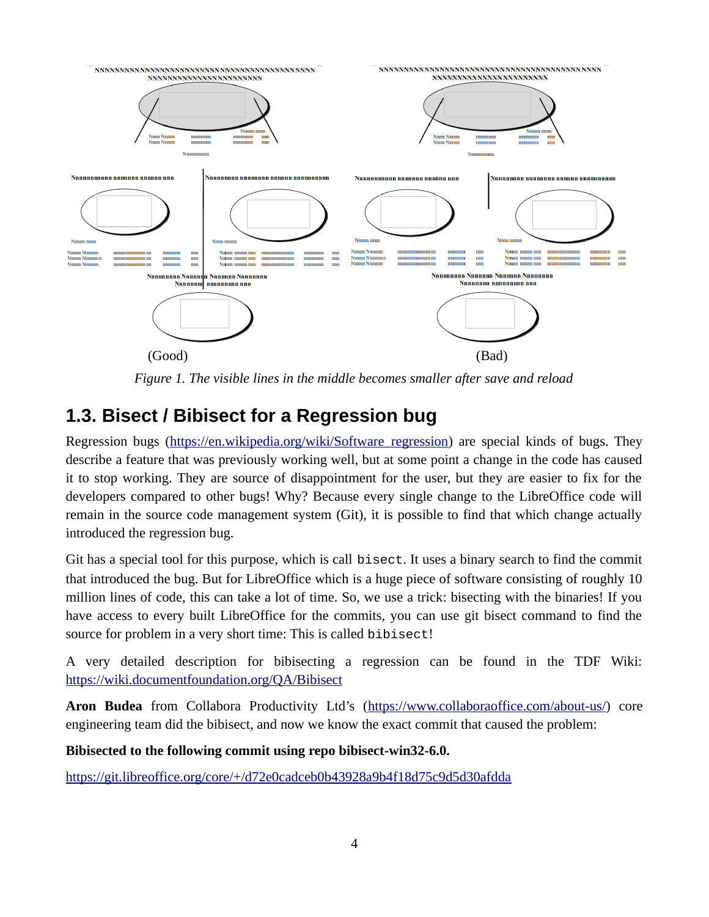

(Good) (Bad) *Figure 1. The visible lines in the middle becomes smaller after save and reload*

#### <span id="page-3-0"></span>**1.3. Bisect / Bibisect for a Regression bug**

Regression bugs (https://en.wikipedia.org/wiki/Software regression) are special kinds of bugs. They describe a feature that was previously working well, but at some point a change in the code has caused it to stop working. They are source of disappointment for the user, but they are easier to fix for the developers compared to other bugs! Why? Because every single change to the LibreOffice code will remain in the source code management system (Git), it is possible to find that which change actually in troduced the regression bug.

 $\alpha$ introduced the regression bug. Git has a special tool for this purpose, which is call bisect. It uses a binary search to find the commit<br>that introduced the bug. But for LibreOffice which is a huge piece of software consisting of roughly 10 that introduced the bug. But for LibreOffice which is a huge piece of software consisting of roughly 10 million lines of code, this can take a lot of time. So, we use a trick: bisecting with the binaries! If you have access to every built LibreOffice for the commits, you can use git bisect command to find the source for problem in a very short time: This is called bibisect!

[A very detailed description for bibisecting](https://wiki.documentfoundation.org/QA/Bibisect) a regression can be found in the TDF Wiki: https://wiki.documentfoundation.org/QA/Bibisect

https://wiki.document.org/QA/Bibisection.org/ **Aron Budea**engineering team did the bibisect, and now we know the exact commit that caused the problem:

engineering team did the bibisect, and now we know the exact commit that caused the problem: **Bibisected to the following commit using repo bibisect-win32-6.0.**

https://git.libreoffice.org/core/+/d72e0cadceb0b3928a9b43928a9b43928a9b44d4d43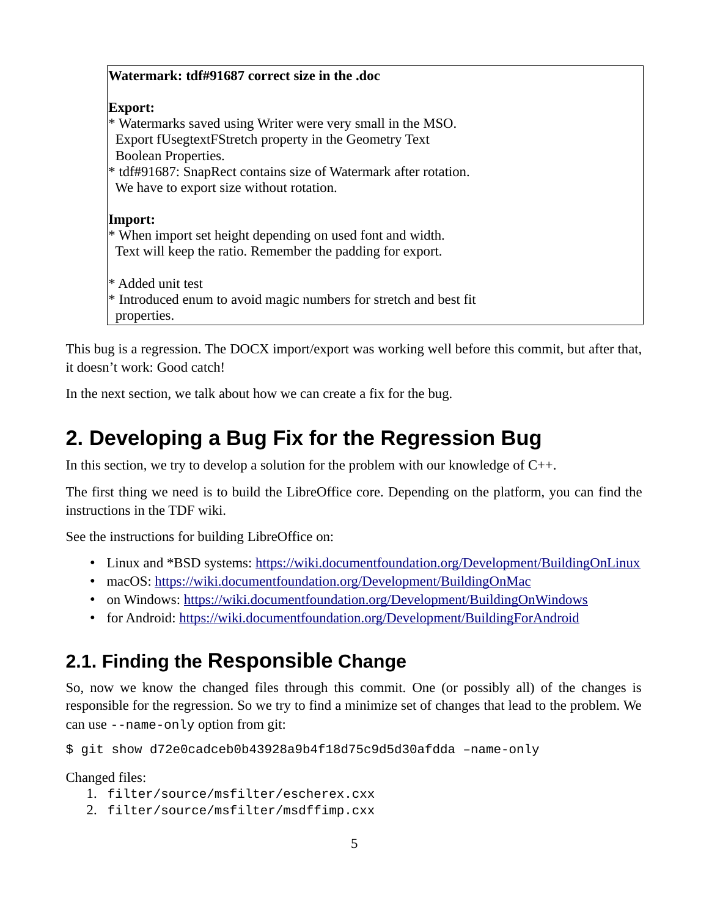| Watermark: tdf#91687 correct size in the .doc                     |
|-------------------------------------------------------------------|
| Export:                                                           |
| * Watermarks saved using Writer were very small in the MSO.       |
| Export fUsegtextFStretch property in the Geometry Text            |
| <b>Boolean Properties.</b>                                        |
| * tdf#91687: SnapRect contains size of Watermark after rotation.  |
| We have to export size without rotation.                          |
|                                                                   |
| Import:                                                           |
| * When import set height depending on used font and width.        |
| Text will keep the ratio. Remember the padding for export.        |
| * Added unit test                                                 |
| * Introduced enum to avoid magic numbers for stretch and best fit |
| properties.                                                       |
|                                                                   |

This bug is a regression. The DOCX import/export was working well before this commit, but after that, it doesn't work: Good catch!

it doesn't work: Good catch! In the next section, we talk about how we can create a fix for the bug.

## <span id="page-4-1"></span>**2. Developing a Bug Fix for the Regression Bug**

In this section, we try to develop a solution for the problem with our knowledge of  $C^{++}$ .<br>The first thing we need is to build the LibreOffice core. Depending on the platform, you can find the

instructions in the TDF wiki.

See the instructions for building LibreOffice on:

- Linux and \*BSD systems: https://wiki.do
	- macOS: https://wiki.documentfoundation.org/Development/BuildingOnMac
	- on Windows: https://wiki.documentfoundation.org/Development/BuildingOn
	- for Android: https://wiki.documentfoundation.org/Development/BuildingForAndroid for Android: https://wiki.document.org/Development/Building/Development/Building-

#### <span id="page-4-0"></span>**2.1. Finding the Responsible Change**

So, now we know the changed files through this commit. One (or possibly all) of the changes is responsible for the regression. So we try to find a minimize set of changes that lead to the problem. We can use  $-$ -name-only option from git:<br> $\hat{E}$  with a have d<sup>1</sup>2000 can be block 400000 can to the problem. We have a minimize that lead to the problem.

\$ git show d72e0cadceb0b43928a9b4f18d75c9d5d30afdda –name-only

- Changed files:<br>1. filter/source/msfilter/escherex.cxx 1. filter/source/msfilter/escherex.cxx<br>2. filter/source/msfilter/msdffimp.cxx
	- 2. filter/source/msfilter/msdffimp.cxx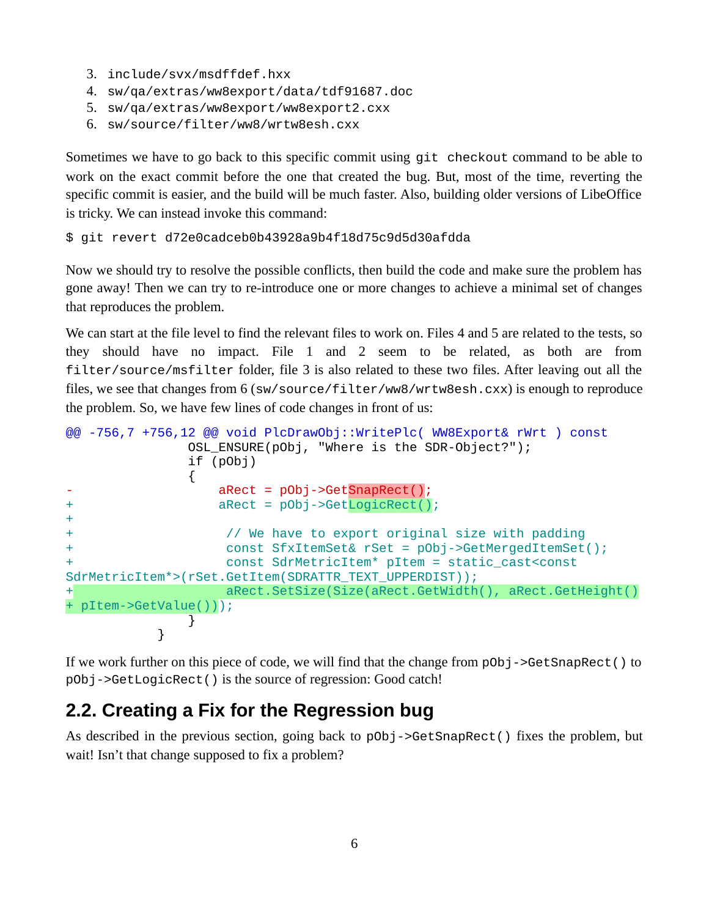- 3. include/svx/msdffdef.hxx<br>4. sw/qa/extras/ww8export/d
- 4. sw/qa/extras/ww8export/data/tdf91687.doc
- 5. sw/qa/extras/ww8export/ww8export2.cxx
- 6. sw/source/filter/ww8/wrtw8esh.cxx

Sometimes we have to go back to this specific commit using git checkout command to be able to work on the exact commit before the one that created the bug. But, most of the time, reverting the specific commit is easier, and the build will be much faster. Also, building older versions of LibeOffice is tricky. We can instead invoke this command:

is tricky. We can instead invoke this command: \$ git revert d72e0cadceb0b43928a9b4f18d75c9d5d30afdda

Now we should try to resolve the possible conflicts, then build the code and make sure the problem has gone away! Then we can try to re-introduce one or more changes to achieve a minimal set of changes that reproduces the problem.

We can start at the file level to find the relevant files to work on. Files 4 and 5 are related to the tests, so they should have no impact. File 1 and 2 seem to be related, as both are from  $finter/source/msfitter$  folder, file 3 is also related to these two files. After leaving out all the files, we see that changes from 6 (sw/source/filter/ww8/wrtw8esh.cxx) is enough to reproduce<br>the problem. So, we have few lines of code changes in front of us:

```
the problem. So, we have few lines of code changes in front of us:
@@ -756,7 +756,12 @@ void PlcDrawObj::WritePlc( WW8Export& rWrt ) const
               OSL_ENSURE(pObj, "Where is the SDR-Object?");
               if (pObj)
\overline{a}- aRect = pObj->GetSnapRect();
+ aRect = pObj->GetLogicRect();
+
+ // We have to export original size with padding
+ const SfxItemSet& rSet = pObj->GetMergedItemSet();
+ const SdrMetricItem* pItem = static_cast<const 
SdrMetricItem*>(rSet.GetItem(SDRATTR_TEXT_UPPERDIST));
+ aRect.SetSize(Size(aRect.GetWidth(), aRect.GetHeight()
 pItem->GetValue()));
\overline{\phantom{a}}}
```
If we work further on this piece of code, we will find that the change from pObj->GetSnapRect() to pObj->GetLogicRect() is the source of regression: Good catch!

#### <span id="page-5-0"></span> is the source of regression: Good catch! **2.2. Creating a Fix for the Regression bug**

As described in the previous section, going back to pObj->GetSnapRect() fixes the problem, but wait! Isn't that change supposed to fix a problem?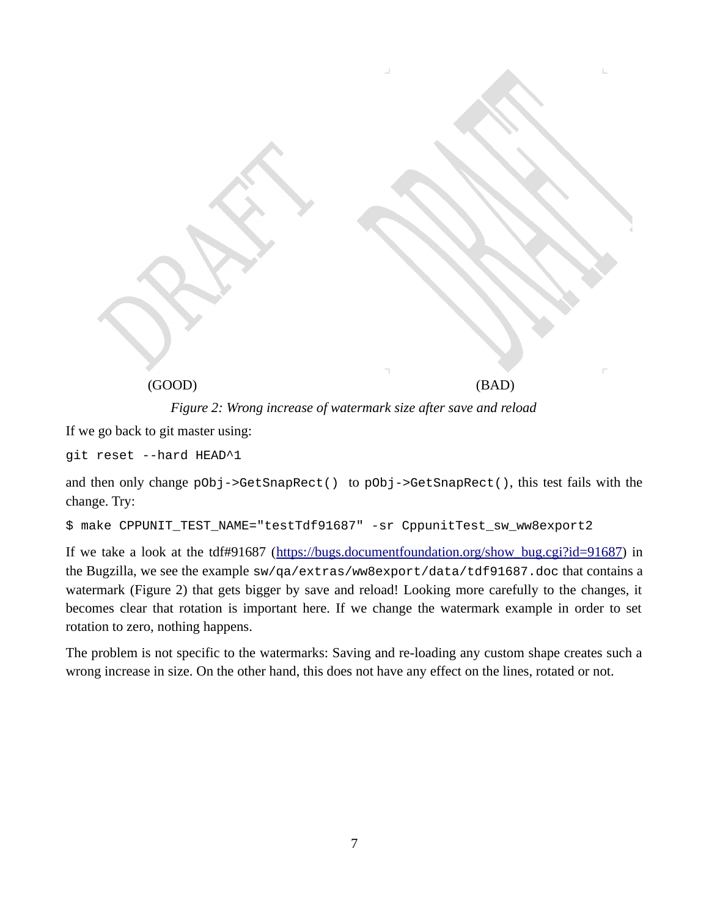

If we go back to git master using: git reset --hard HEAD^1

and then only change  $p0bj -> GetShape(C)$  to  $p0bj -> GetShape(C)$ , this test fails with the change. Try:

```
میں ہے۔<br>$ make CPPUNIT TEST NAME="testTdf91687" -sr CppunitTest sw_ww8export2
```
If we take a look at the take been  $\frac{1}{2}$  (<u>in permeagne can be welcound at a</u> / diffeoundation.org/show.org/show<br>the Bugzilla, we see the example sw/qa/extras/ww8export/data/tdf91687.doc that contains a<br>watermark (Figu watermark (Figure 2) that gets bigger by save and reload! Looking more carefully to the changes, it becomes clear that rotation is important here. If we change the watermark example in order to set rotation to zero, nothing happens.

The problem is not specific to the watermarks: Saving and re-loading any custom shape creates such a wrong increase in size. On the other hand, this does not have any effect on the lines, rotated or not. wrong increase in size. On the other hand, this does not have any effect on the lines, rotated or not.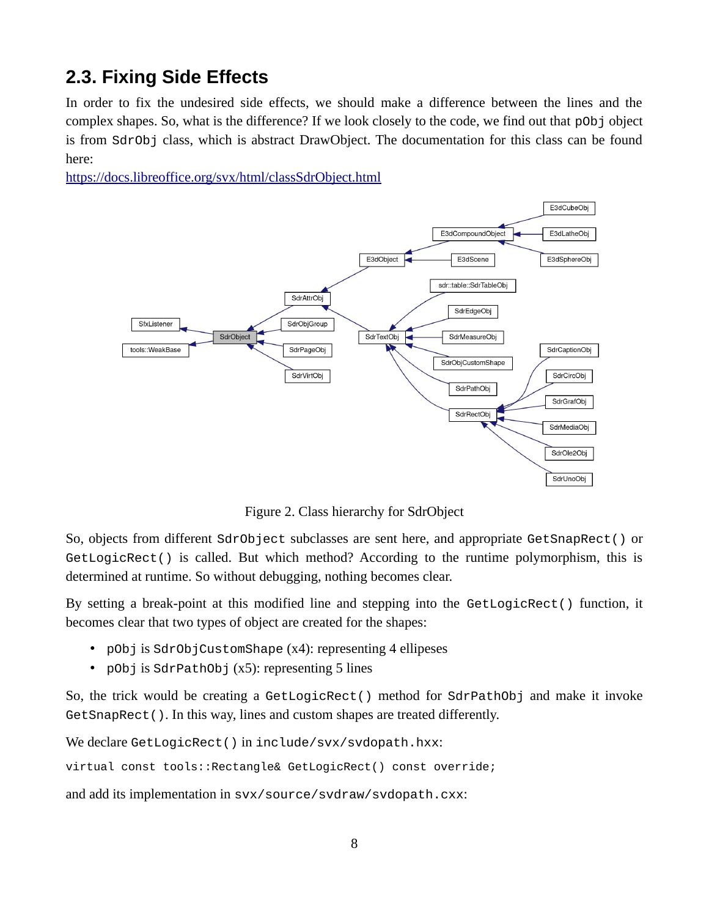## <span id="page-7-0"></span>**2.3. Fixing Side Effects**

In order to fix the undesired side effects, we should make a difference servest the lines and the complex shapes. So, what is the difference? If we look closely to the code, we find out that pObj object is from SdrObi clas is from SdrObj class, which is abstract DrawObject. The documentation for this class can be found

https://docs.libreoffice.org/syx/html/classSdrObject.html



Figure 2. Class hierarchy for SdrObject So, objects from different SdrObject subclasses are sent here, and appropriate GetSnapRect() or<br>GetLogicRect() is called. But which method? According to the runtime polymorphism, this is GetLogicRect() is called. But which method? According to the runtime polymorphism, this is determined at runtime. So without debugging, nothing becomes clear.

determined at runtime. So without debugging, nothing becomes clear. By setting a break-point at this modified line and stepping into the GetLogicRect() function, it<br>becomes clear that two types of object are created for the shapes:

- pObj is SdrObjCustomShape (x4): representing 4 ellipeses<br>• pObi is SdrPathObi (x5): representing 5 lines
	- pObj is SdrPathObj (x5): representing 5 lines

So, the trick would be creating a GetLogicRect() method for SdrPathObj and make it invoke GetSnapRect (). In this way, lines and custom shapes are treated differently.

. In this way, lines and custom shapes are treated differently. We declare GetLogicRect() in include/svx/svdopath.hxx:

virtual const tools::Rectangle& GetLogicRect() const override;

and add its implementation in svx/source/svdraw/svdopath.cxx: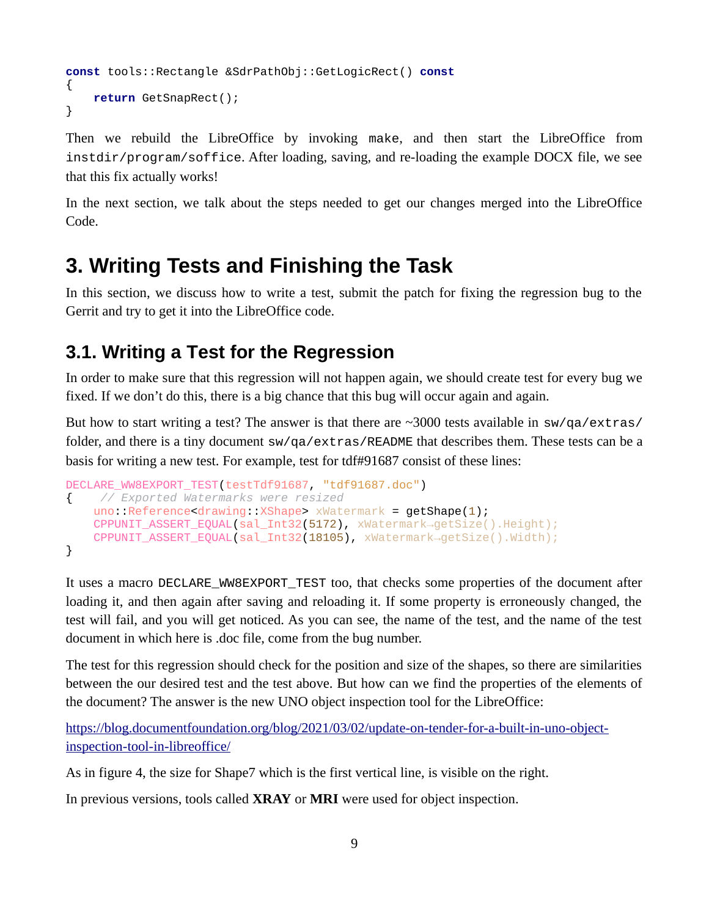```
const tools::Rectangle &SdrPathObj::GetLogicRect() const
{
     return GetSnapRect();
}
```
Then we rebuild the LibreOffice by invoking make, and then start the LibreOffice from instdir/program/soffice. After loading, saving, and re-loading the example DOCX file, we see  $\alpha$  and  $\beta$  saving, and reflecting the example DOCX file, we see Eq. that this fix actually works!<br>In the next section, we talk about the steps needed to get our changes merged into the LibreOffice

In the next section, we talk about the steps needed to get our changes merged into the LibreOffice Code.

#### <span id="page-8-1"></span>**3. Writing Tests and Finishing the Task**

In this section, we discuss how to write a test, such that  $\frac{1}{2}$  from the  $\frac{1}{2}$  submitted for fixing the regression bug to the patch for fixing the regression bug to the patch for fixing the regression bug to the L Gerrit and try to get it into the LibreOffice code.

#### <span id="page-8-0"></span>**3.1. Writing a Test for the Regression**

In order to make sure that this regression will not happen again, we should create test for every bug we fixed. If we don't do this, there is a big chance that this bug will occur again and again.

fixed to the this decay, there is a big chance that this bug will occur again and again. But how to start writing a test? The answer is that there are ~3000 tests available in sw/qa/extras/<br>folder, and there is a tiny document sw/qa/extras/README that describes them. These tests can be a folder, and there is a tiny document sw/qa/extras/README that describes them. These tests can be a<br>basis for writing a new test. For example, test for tdf#91687 consist of these lines:

```
basis for writing a new test. For example, test for tdf#91687 consist of these lines:
DECLARE_WW8EXPORT_TEST(testTdf91687, "tdf91687.doc")
{ // Exported Watermarks were resized
     uno::Reference<drawing::XShape> xWatermark = getShape(1);
     CPPUNIT_ASSERT_EQUAL(sal_Int32(5172), xWatermark→getSize().Height);
     CPPUNIT_ASSERT_EQUAL(sal_Int32(18105), xWatermark→getSize().Width);
}
```
It uses a macro DECLARE\_WW8EXPORT\_TEST too, that checks some properties of the document after loading it, and then again after saving and reloading it. If some property is erroneously changed, the test will fail, and you will get noticed. As you can see, the name of the test, and the name of the test document in which here is .doc file, come from the bug number.

The test for this regression should check for the position and size of the shapes, so there are similarities between the our desired test and the test above. But how can we find the properties of the elements of the document? The answer is the new UNO object inspection tool for the LibreOffice:

https://blog.documentfoundation.org/blog/2021/03/02/update-on-tender-for-a-built-in-uno-objectinspection-tool-in-libreoffice/

As in figure 4, the size for Shape7 which is the first vertical line, is visible on the right.

 $\sigma$  is the size for Shape  $\sigma$  Shape  $\sigma$  Shape  $\sigma$  is visible on the right. In previous versions, tools called **XRAY** or **MRI** were used for object inspection.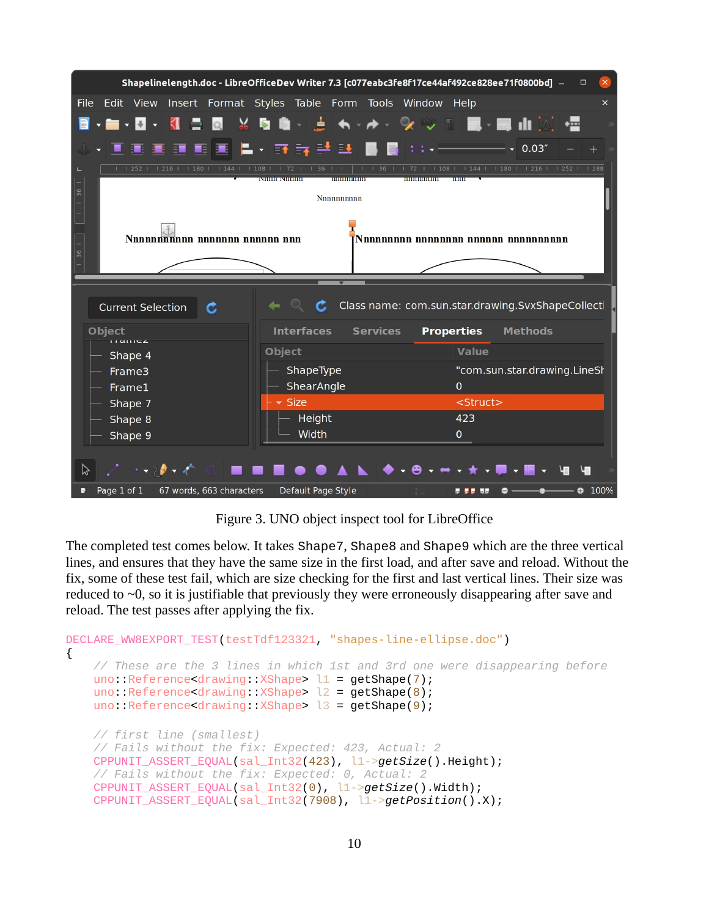|                                                                      | Shapelinelength.doc - LibreOfficeDev Writer 7.3 [c077eabc3fe8f17ce44af492ce828ee71f0800bd] - | $\times$<br>$\Box$                           |  |  |  |  |  |
|----------------------------------------------------------------------|----------------------------------------------------------------------------------------------|----------------------------------------------|--|--|--|--|--|
| <b>File</b>                                                          | Edit View Insert Format Styles Table Form Tools Window Help                                  | $\times$                                     |  |  |  |  |  |
| ▆ <b>·</b> ◘· «▌▅<br>Q                                               | ▏▓▝◙▝▓░▕▅▏▗▖▖▗▖░▏░▏░▏░▏▓▓░▐▓▏▞▓▏▞▓                                                           |                                              |  |  |  |  |  |
| $\overline{\Xi}$                                                     | 圓圓  星•  詳詩詩話  圓  圓  日+-                                                                      | $- - 0.03''$                                 |  |  |  |  |  |
| $1216$   180  <br>1144<br>1252                                       | 1108<br>36<br>36<br>72<br>,,,,,,,,,,,,,,,,<br>,,,,,,,,,,,,,,,,,<br><b>MINIBARDINI</b>        | $1144$   180   1216   1252  <br>1288<br>1108 |  |  |  |  |  |
| $\frac{1}{36}$<br>Nnnnnnnnnn                                         |                                                                                              |                                              |  |  |  |  |  |
| Nononnoppon nonnonnoppon non<br>Nnnnnnnnn nnnnnnnn nnnnnn nnnnnnnnnn |                                                                                              |                                              |  |  |  |  |  |
| $\Big _{\mathfrak{H}}^{-}$                                           |                                                                                              |                                              |  |  |  |  |  |
|                                                                      | Class name: com.sun.star.drawing.SvxShapeCollecti<br><b>Current Selection</b>                |                                              |  |  |  |  |  |
|                                                                      |                                                                                              |                                              |  |  |  |  |  |
| <b>Object</b>                                                        | <b>Interfaces</b><br><b>Services</b>                                                         | <b>Properties</b><br><b>Methods</b>          |  |  |  |  |  |
| <b>TIGHTCZ</b>                                                       | <b>Object</b>                                                                                | <b>Value</b>                                 |  |  |  |  |  |
| Shape 4<br>Frame3<br>Frame1                                          | ShapeType<br>ShearAngle                                                                      | "com.sun.star.drawing.LineSł<br>$\mathbf{0}$ |  |  |  |  |  |
| Shape 7                                                              | $\overline{\phantom{a}}$ Size                                                                | <struct></struct>                            |  |  |  |  |  |
| Shape 8                                                              | Height                                                                                       | 423                                          |  |  |  |  |  |
| Shape 9                                                              | Width                                                                                        | 0                                            |  |  |  |  |  |
| プ                                                                    |                                                                                              |                                              |  |  |  |  |  |

 $\mathcal{F}$  . Under the  $\mathcal{F}$  is the  $\mathcal{F}$  inspect to  $\mathcal{F}$  is the  $\mathcal{F}$ The completed test comes below. It takes Shape7, Shape8 and Shape9 which are the three vertical lines, and ensures that they have the same size in the first load, and after save and reload. Without the lines, and ensures that they have the same size in the first load, and after save and reload. Without the fix, some of these test fail, which are size checking for the first and last vertical lines. Their size was reduced to  $\sim$ 0, so it is justifiable that previously they were erroneously disappearing after save and reload. The test passes after applying the fix.

```
relative test passes after a \mathbf{r}_{\text{rf}} and \mathbf{r}_{\text{rf}}DECLARE_WW8EXPORT_TEST(testTdf123321, "shapes-line-ellipse.doc")
{
     // These are the 3 lines in which 1st and 3rd one were disappearing before
    uno: Reference<drawing: XShape> l1 = getShape(7);
    uno: Reference<drawing: XShape> l2 = getShape(8);
    uno::Reference<drawing::XShape> l3 = getShape(9);
     // first line (smallest)
     // Fails without the fix: Expected: 423, Actual: 2
     CPPUNIT_ASSERT_EQUAL(sal_Int32(423), l1->getSize().Height);
     // Fails without the fix: Expected: 0, Actual: 2
     CPPUNIT_ASSERT_EQUAL(sal_Int32(0), l1->getSize().Width);
     CPPUNIT_ASSERT_EQUAL(sal_Int32(7908), l1->getPosition().X);
```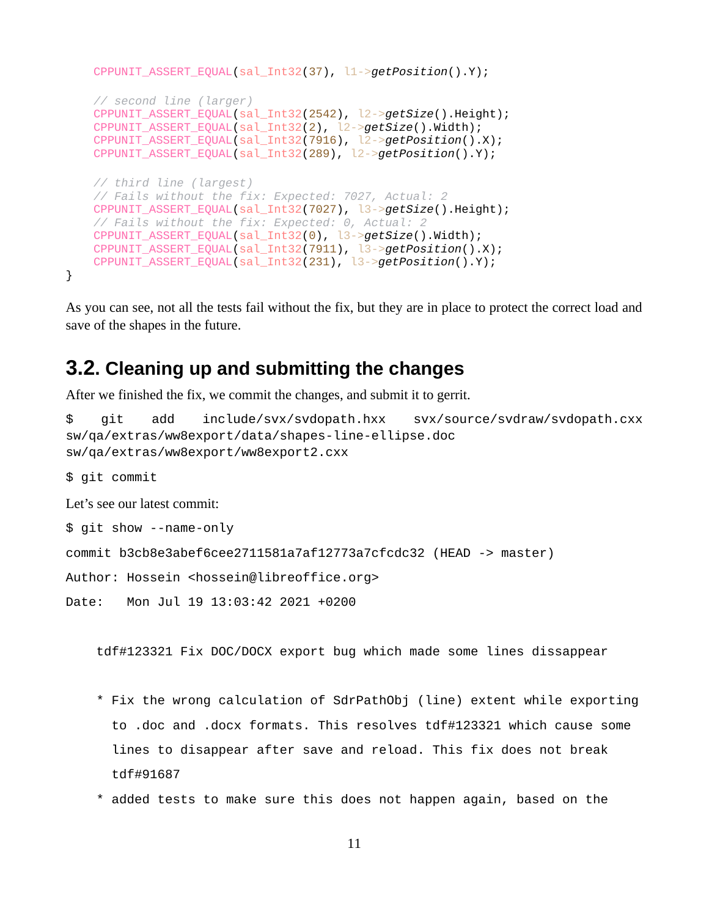```
 CPPUNIT_ASSERT_EQUAL(sal_Int32(37), l1->getPosition().Y);
    // second line (larger)
    CPPUNIT_ASSERT_EQUAL(sal_Int32(2542), l2->getSize().Height);
    CPPUNIT_ASSERT_EQUAL(sal_Int32(2), l2->getSize().Width);
    CPPUNIT_ASSERT_EQUAL(sal_Int32(7916), l2->getPosition().X);
    CPPUNIT_ASSERT_EQUAL(sal_Int32(289), l2->getPosition().Y);
    // third line (largest)
    // Fails without the fix: Expected: 7027, Actual: 2
    CPPUNIT_ASSERT_EQUAL(sal_Int32(7027), l3->getSize().Height);
    // Fails without the fix: Expected: 0, Actual: 2
    CPPUNIT_ASSERT_EQUAL(sal_Int32(0), l3->getSize().Width);
 CPPUNIT_ASSERT_EQUAL(sal_Int32(7911), l3->getPosition().X);
 CPPUNIT_ASSERT_EQUAL(sal_Int32(231), l3->getPosition().Y);
```
As you can see, not all the tests fail without the fix, but they are in place to protect the correct load and save of the shapes in the future.

#### <span id="page-10-0"></span>**3.2. Cleaning up and submitting the changes**

After we finished the fix, we commit the changes, and submit it to gerrit.<br>\$ git add include/svx/svdopath.hxx svx/sour

```
svx/source/svdraw/svdopath.cxx
sw/qa/extras/ww8export/data/shapes-line-ellipse.doc
sw/qa/extras/ww8export/ww8export2.cxx
```
\$ git commit

}

Let's see our latest commit: \$ git show --name-only

save of the shapes in the future.

```
commit b3cb8e3abef6cee2711581a7af12773a7cfcdc32 (HEAD -> master)
```
Author: Hossein <hossein@libreoffice.org>

Date: Mon Jul 19 13:03:42 2021 +0200

tdf#123321 Fix DOC/DOCX export bug which made some lines dissappear

- \* Fix the wrong calculation of SdrPathObj (line) extent while exporting to .doc and .docx formats. This resolves tdf#123321 which cause some lines to disappear after save and reload. This fix does not break tdf#91687
- \* added tests to make sure this does not happen again, based on the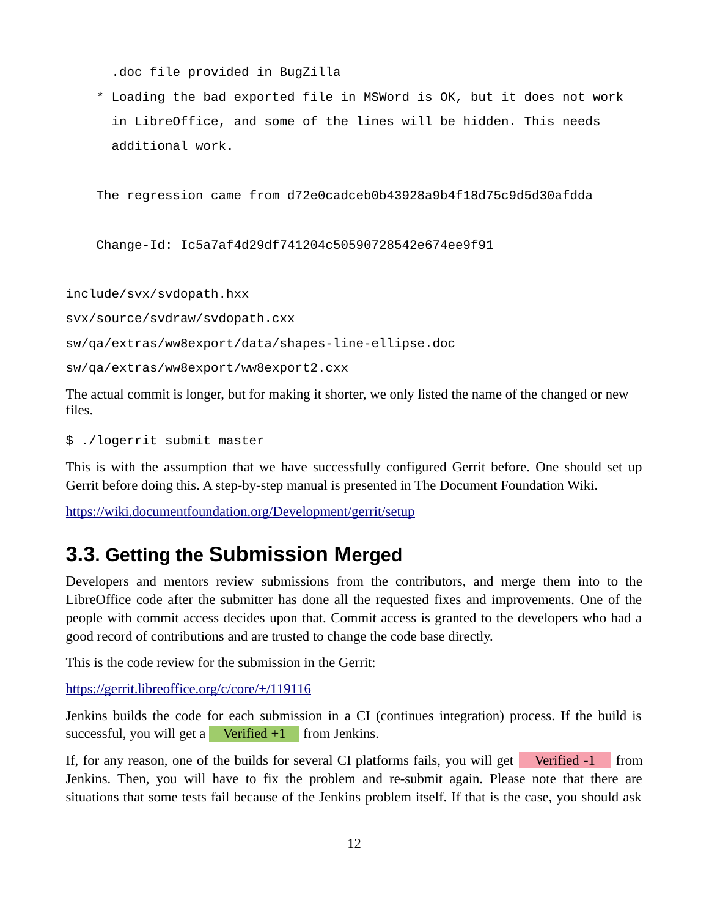.doc file provided in BugZilla

 \* Loading the bad exported file in MSWord is OK, but it does not work in LibreOffice, and some of the lines will be hidden. This needs additional work.

The regression came from d72e0cadceb0b43928a9b4f18d75c9d5d30afdda

Change-Id: Ic5a7af4d29df741204c50590728542e674ee9f91

include/svx/svdopath.hxx

svx/source/svdraw/svdopath.cxx

sw/qa/extras/ww8export/data/shapes-line-ellipse.doc

sw/qa/extras/ww8export/ww8export2.cxx

The actual commit is longer, but for making it shorter, we only listed the name of the changed or new files.

\$ ./logerrit submit master

This is with the assumption that we have successfully configured Gerrit before. One should set up Gerrit before doing this. A step-by-step manual is presented in The Document Foundation Wiki.

https://wiki.documentfoundation.org/Development/gerrit/setup https://wiki.documentfoundation.org/Development/gerrit/setup

#### <span id="page-11-0"></span>**3.3. Getting the Submission Merged**

Developers and mentors review submissions from the contributors, and merge them into to the LibreOffice code after the submitter has done all the requested fixes and improvements. One of the people with commit access decides upon that. Commit access is granted to the developers who had a good record of contributions and are trusted to change the code base directly.

This is the code review for the submission in the Gerrit:

https://gerrit.libreoffice.org/c/core/+/119116

Jenkins builds the code for each submission in a CI (continues integration) process. If the build is successful, you will get a **Verified +1** from Jenkins.

If, for any reason, one of the builds for several CI platforms fails, you will get Verified  $-1$  from Jenkins. Then, you will have to fix the problem and re-submit again. Please note that there are situations that some tests fail because of the Jenkins problem itself. If that is the case, you should ask situations that some tests fail because  $\mathbf{F}_{\mathbf{F}}$  is the case, is the case, you should ask.